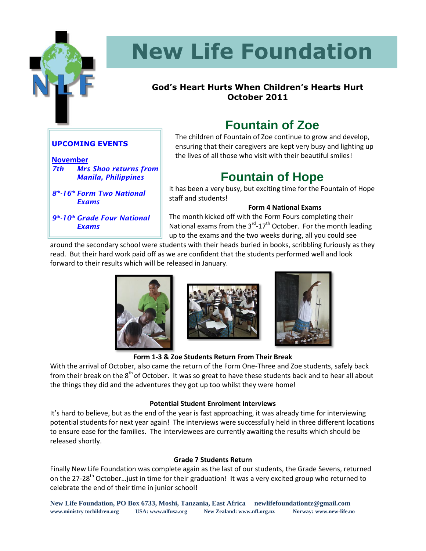

# **New Life Foundation**

#### **God's Heart Hurts When Children's Hearts Hurt October 2011**

### **Fountain of Zoe**

The children of Fountain of Zoe continue to grow and develop, ensuring that their caregivers are kept very busy and lighting up the lives of all those who visit with their beautiful smiles!

### **Fountain of Hope**

It has been a very busy, but exciting time for the Fountain of Hope staff and students!

#### **Form 4 National Exams**

The month kicked off with the Form Fours completing their National exams from the  $3<sup>rd</sup> - 17<sup>th</sup>$  October. For the month leading up to the exams and the two weeks during, all you could see

around the secondary school were students with their heads buried in books, scribbling furiously as they read. But their hard work paid off as we are confident that the students performed well and look forward to their results which will be released in January.







**Form 1-3 & Zoe Students Return From Their Break**

With the arrival of October, also came the return of the Form One-Three and Zoe students, safely back from their break on the 8<sup>th</sup> of October. It was so great to have these students back and to hear all about the things they did and the adventures they got up too whilst they were home!

#### **Potential Student Enrolment Interviews**

It's hard to believe, but as the end of the year is fast approaching, it was already time for interviewing potential students for next year again! The interviews were successfully held in three different locations to ensure ease for the families. The interviewees are currently awaiting the results which should be released shortly.

#### **Grade 7 Students Return**

Finally New Life Foundation was complete again as the last of our students, the Grade Sevens, returned on the 27-28<sup>th</sup> October... just in time for their graduation! It was a very excited group who returned to celebrate the end of their time in junior school!

#### **UPCOMING EVENTS**

**November** *7th Mrs Shoo returns from Manila, Philippines*

*8 th -16th Form Two National Exams*

*9 th -10th Grade Four National Exams*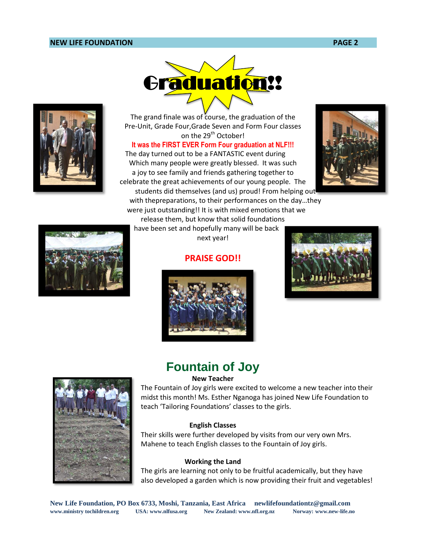#### **NEW LIFE FOUNDATION PAGE 2**



The grand finale was of course, the graduation of the Pre-Unit, Grade Four,Grade Seven and Form Four classes on the 29<sup>th</sup> October!

**It was the FIRST EVER Form Four graduation at NLF!!!**

The day turned out to be a FANTASTIC event during Which many people were greatly blessed. It was such a joy to see family and friends gathering together to celebrate the great achievements of our young people. The

students did themselves (and us) proud! From helping out with thepreparations, to their performances on the day…they were just outstanding!! It is with mixed emotions that we

release them, but know that solid foundations have been set and hopefully many will be back next year!

#### **PRAISE GOD!!**







**Fountain of Joy**

#### **New Teacher**



The Fountain of Joy girls were excited to welcome a new teacher into their midst this month! Ms. Esther Nganoga has joined New Life Foundation to teach 'Tailoring Foundations' classes to the girls.

#### **English Classes**

Their skills were further developed by visits from our very own Mrs. Mahene to teach English classes to the Fountain of Joy girls.

#### **Working the Land**

The girls are learning not only to be fruitful academically, but they have also developed a garden which is now providing their fruit and vegetables!

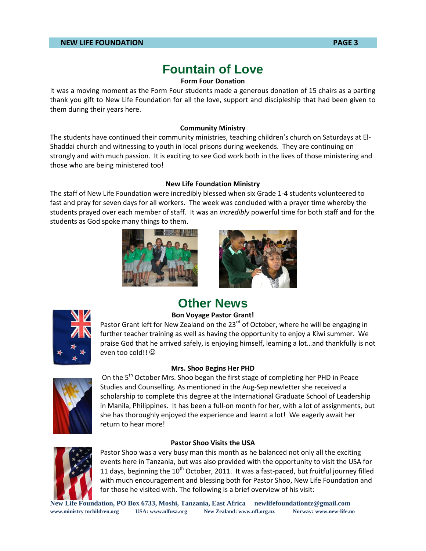### **Fountain of Love**

#### **Form Four Donation**

It was a moving moment as the Form Four students made a generous donation of 15 chairs as a parting thank you gift to New Life Foundation for all the love, support and discipleship that had been given to them during their years here.

#### **Community Ministry**

The students have continued their community ministries, teaching children's church on Saturdays at El-Shaddai church and witnessing to youth in local prisons during weekends. They are continuing on strongly and with much passion. It is exciting to see God work both in the lives of those ministering and those who are being ministered too!

#### **New Life Foundation Ministry**

The staff of New Life Foundation were incredibly blessed when six Grade 1-4 students volunteered to fast and pray for seven days for all workers. The week was concluded with a prayer time whereby the students prayed over each member of staff. It was an *incredibly* powerful time for both staff and for the students as God spoke many things to them.





### **Other News Bon Voyage Pastor Grant!**

Pastor Grant left for New Zealand on the  $23<sup>rd</sup>$  of October, where he will be engaging in further teacher training as well as having the opportunity to enjoy a Kiwi summer. We praise God that he arrived safely, is enjoying himself, learning a lot…and thankfully is not even too cold!!  $\odot$ 

#### **Mrs. Shoo Begins Her PHD**



On the  $5<sup>th</sup>$  October Mrs. Shoo began the first stage of completing her PHD in Peace Studies and Counselling. As mentioned in the Aug-Sep newletter she received a scholarship to complete this degree at the International Graduate School of Leadership in Manila, Philippines. It has been a full-on month for her, with a lot of assignments, but she has thoroughly enjoyed the experience and learnt a lot! We eagerly await her return to hear more!

#### **Pastor Shoo Visits the USA**



Pastor Shoo was a very busy man this month as he balanced not only all the exciting events here in Tanzania, but was also provided with the opportunity to visit the USA for 11 days, beginning the  $10<sup>th</sup>$  October, 2011. It was a fast-paced, but fruitful journey filled with much encouragement and blessing both for Pastor Shoo, New Life Foundation and for those he visited with. The following is a brief overview of his visit:

**New Life Foundation, PO Box 6733, Moshi, Tanzania, East Africa newlifefoundationtz@gmail.com www.ministry tochildren.org USA: www.nlfusa.org New Zealand: www.nfl.org.nz Norway: www.new-life.no**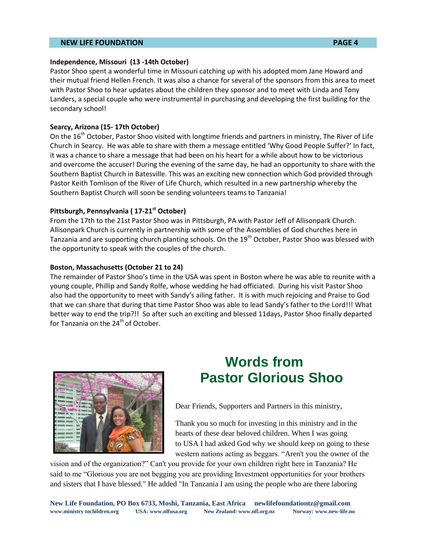#### **NEW LIFE FOUNDATION PAGE 4**

#### **Independence, Missouri (13 -14th October)**

Pastor Shoo spent a wonderful time in Missouri catching up with his adopted mom Jane Howard and their mutual friend Hellen French. It was also a chance for several of the sponsors from this area to meet with Pastor Shoo to hear updates about the children they sponsor and to meet with Linda and Tony Landers, a special couple who were instrumental in purchasing and developing the first building for the secondary school!

#### **Searcy, Arizona (15- 17th October)**

On the 16<sup>th</sup> October, Pastor Shoo visited with longtime friends and partners in ministry, The River of Life Church in Searcy. He was able to share with them a message entitled 'Why Good People Suffer?' In fact, it was a chance to share a message that had been on his heart for a while about how to be victorious and overcome the accuser! During the evening of the same day, he had an opportunity to share with the Southern Baptist Church in Batesville. This was an exciting new connection which God provided through Pastor Keith Tomlison of the River of Life Church, which resulted in a new partnership whereby the Southern Baptist Church will soon be sending volunteers teams to Tanzania!

#### **Pittsburgh, Pennsylvania ( 17-21st October)**

From the 17th to the 21st Pastor Shoo was in Pittsburgh, PA with Pastor Jeff of Allisonpark Church. Allisonpark Church is currently in partnership with some of the Assemblies of God churches here in Tanzania and are supporting church planting schools. On the 19<sup>th</sup> October, Pastor Shoo was blessed with the opportunity to speak with the couples of the church.

#### **Boston, Massachusetts (October 21 to 24)**

The remainder of Pastor Shoo's time in the USA was spent in Boston where he was able to reunite with a young couple, Phillip and Sandy Rolfe, whose wedding he had officiated. During his visit Pastor Shoo also had the opportunity to meet with Sandy's ailing father. It is with much rejoicing and Praise to God that we can share that during that time Pastor Shoo was able to lead Sandy's father to the Lord!!! What better way to end the trip?!! So after such an exciting and blessed 11days, Pastor Shoo finally departed for Tanzania on the  $24<sup>th</sup>$  of October.



### **Words from Pastor Glorious Shoo**

Dear Friends, Supporters and Partners in this ministry,

Thank you so much for investing in this ministry and in the hearts of these dear beloved children. When I was going to USA I had asked God why we should keep on going to these western nations acting as beggars. "Aren't you the owner of the

vision and of the organization?" Can't you provide for your own children right here in Tanzania? He said to me "Glorious you are not begging you are providing Investment opportunities for your brothers and sisters that I have blessed." He added "In Tanzania I am using the people who are there laboring